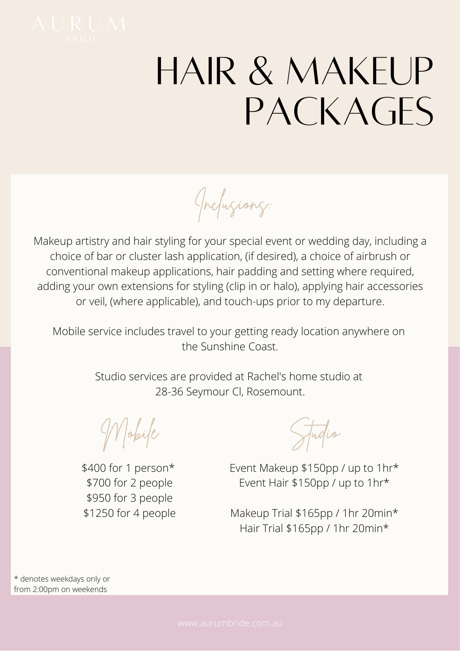

## HAIR & MAKEUP PACKAGES

Inclusions:

Makeup artistry and hair styling for your special event or wedding day, including a choice of bar or cluster lash application, (if desired), a choice of airbrush or conventional makeup applications, hair padding and setting where required, adding your own extensions for styling (clip in or halo), applying hair accessories or veil, (where applicable), and touch-ups prior to my departure.

Mobile service includes travel to your getting ready location anywhere on the Sunshine Coast.

> Studio services are provided at Rachel's home studio at 28-36 Seymour Cl, Rosemount.

Mobile

\$400 for 1 person\* \$700 for 2 people \$950 for 3 people \$1250 for 4 people

Studio

Event Makeup \$150pp / up to 1hr\* Event Hair \$150pp / up to 1hr\*

Makeup Trial \$165pp / 1hr 20min\* Hair Trial \$165pp / 1hr 20min\*

\* denotes weekdays only or from 2:00pm on weekends